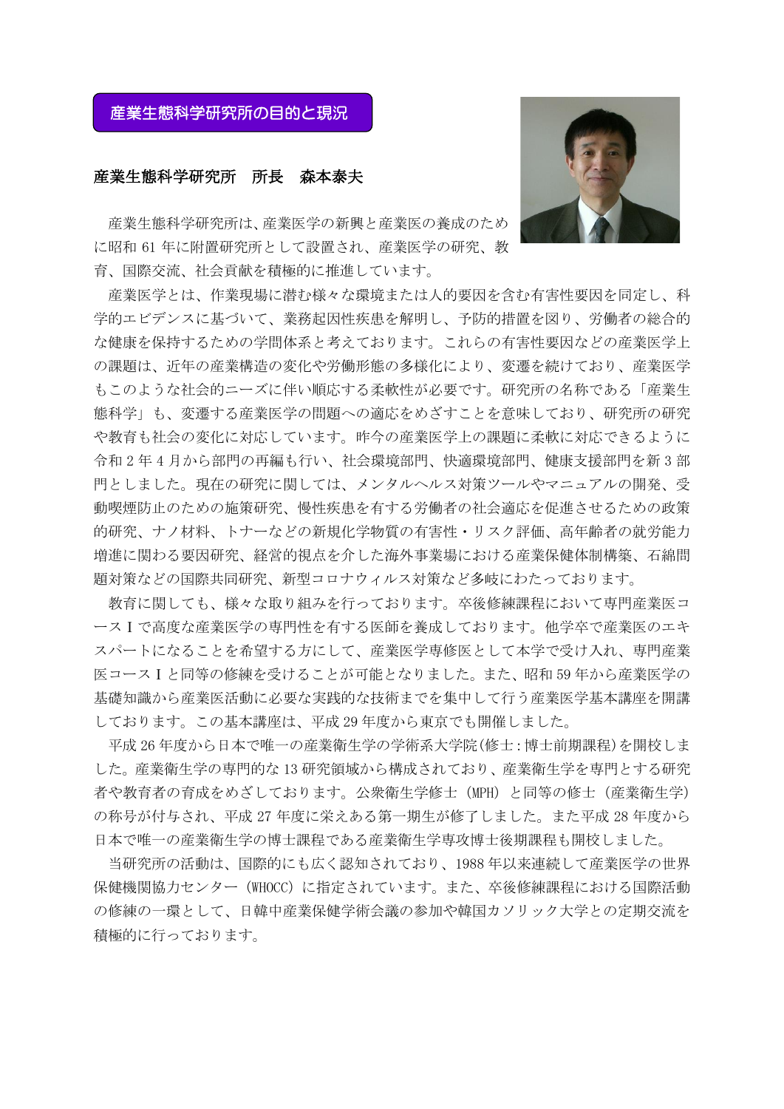## 産業生態科学研究所の目的と現況

## 産業生態科学研究所 所長 森本泰夫

産業生態科学研究所は、産業医学の新興と産業医の養成のため に昭和 61 年に附置研究所として設置され、産業医学の研究、教 育、国際交流、社会貢献を積極的に推進しています。

産業医学とは、作業現場に潜む様々な環境または人的要因を含む有害性要因を同定し、科 学的エビデンスに基づいて、業務起因性疾患を解明し、予防的措置を図り、労働者の総合的 な健康を保持するための学問体系と考えております。これらの有害性要因などの産業医学上 の課題は、近年の産業構造の変化や労働形態の多様化により、変遷を続けており、産業医学 もこのような社会的ニーズに伴い順応する柔軟性が必要です。研究所の名称である「産業生 態科学」も、変遷する産業医学の問題への適応をめざすことを意味しており、研究所の研究 や教育も社会の変化に対応しています。昨今の産業医学上の課題に柔軟に対応できるように 令和 2 年 4 月から部門の再編も行い、社会環境部門、快適環境部門、健康支援部門を新 3 部 門としました。現在の研究に関しては、メンタルヘルス対策ツールやマニュアルの開発、受 動喫煙防止のための施策研究、慢性疾患を有する労働者の社会適応を促進させるための政策 的研究、ナノ材料、トナーなどの新規化学物質の有害性・リスク評価、高年齢者の就労能力 増進に関わる要因研究、経営的視点を介した海外事業場における産業保健体制構築、石綿問 題対策などの国際共同研究、新型コロナウィルス対策など多岐にわたっております。

教育に関しても、様々な取り組みを行っております。卒後修練課程において専門産業医コ ースⅠで高度な産業医学の専門性を有する医師を養成しております。他学卒で産業医のエキ スパートになることを希望する方にして、産業医学専修医として本学で受け入れ、専門産業 医コースⅠと同等の修練を受けることが可能となりました。また、昭和 59 年から産業医学の 基礎知識から産業医活動に必要な実践的な技術までを集中して行う産業医学基本講座を開講 しております。この基本講座は、平成 29 年度から東京でも開催しました。

平成 26 年度から日本で唯一の産業衛生学の学術系大学院(修士:博士前期課程)を開校しま した。産業衛生学の専門的な 13 研究領域から構成されており、産業衛生学を専門とする研究 者や教育者の育成をめざしております。公衆衛生学修士(MPH)と同等の修士(産業衛生学) の称号が付与され、平成 27 年度に栄えある第一期生が修了しました。また平成 28 年度から 日本で唯一の産業衛生学の博士課程である産業衛生学専攻博士後期課程も開校しました。

当研究所の活動は、国際的にも広く認知されており、1988 年以来連続して産業医学の世界 保健機関協力センター (WHOCC)に指定されています。また、卒後修練課程における国際活動 の修練の一環として、日韓中産業保健学術会議の参加や韓国カソリック大学との定期交流を 積極的に行っております。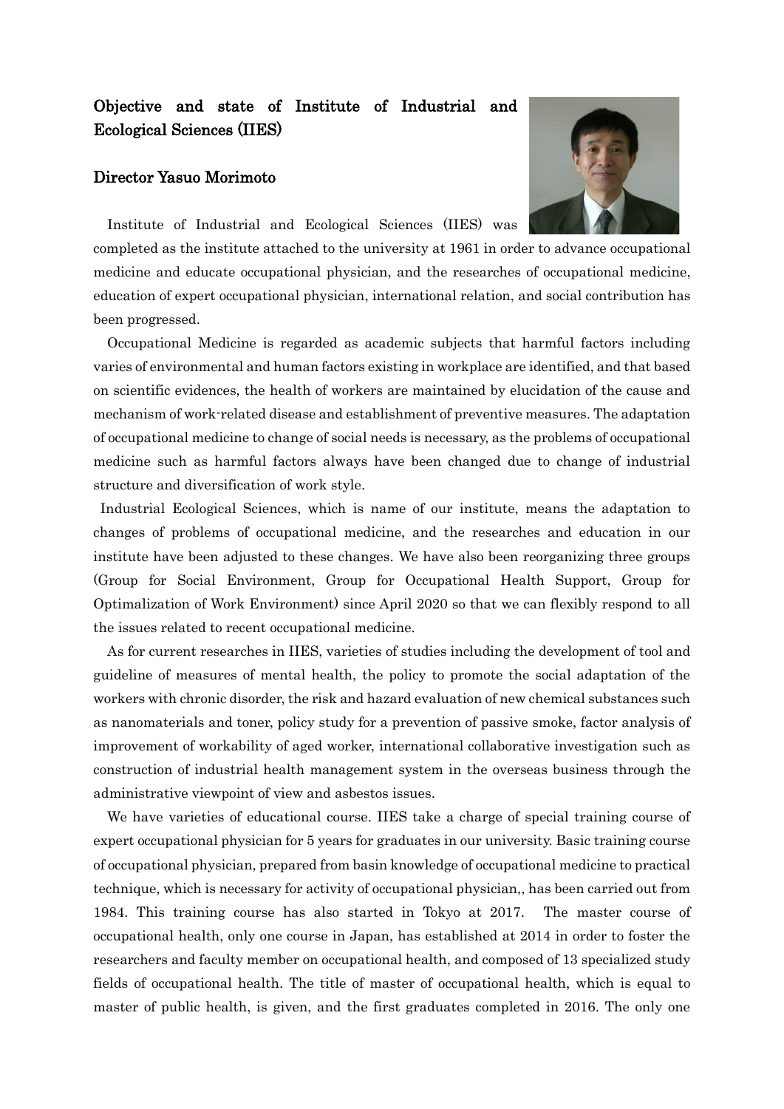## Objective and state of Institute of Industrial and Ecological Sciences (IIES)

## Director Yasuo Morimoto



Institute of Industrial and Ecological Sciences (IIES) was

completed as the institute attached to the university at 1961 in order to advance occupational medicine and educate occupational physician, and the researches of occupational medicine, education of expert occupational physician, international relation, and social contribution has been progressed.

Occupational Medicine is regarded as academic subjects that harmful factors including varies of environmental and human factors existing in workplace are identified, and that based on scientific evidences, the health of workers are maintained by elucidation of the cause and mechanism of work-related disease and establishment of preventive measures. The adaptation of occupational medicine to change of social needs is necessary, as the problems of occupational medicine such as harmful factors always have been changed due to change of industrial structure and diversification of work style.

Industrial Ecological Sciences, which is name of our institute, means the adaptation to changes of problems of occupational medicine, and the researches and education in our institute have been adjusted to these changes. We have also been reorganizing three groups (Group for Social Environment, Group for Occupational Health Support, Group for Optimalization of Work Environment) since April 2020 so that we can flexibly respond to all the issues related to recent occupational medicine.

As for current researches in IIES, varieties of studies including the development of tool and guideline of measures of mental health, the policy to promote the social adaptation of the workers with chronic disorder, the risk and hazard evaluation of new chemical substances such as nanomaterials and toner, policy study for a prevention of passive smoke, factor analysis of improvement of workability of aged worker, international collaborative investigation such as construction of industrial health management system in the overseas business through the administrative viewpoint of view and asbestos issues.

We have varieties of educational course. IIES take a charge of special training course of expert occupational physician for 5 years for graduates in our university. Basic training course of occupational physician, prepared from basin knowledge of occupational medicine to practical technique, which is necessary for activity of occupational physician,, has been carried out from 1984. This training course has also started in Tokyo at 2017. The master course of occupational health, only one course in Japan, has established at 2014 in order to foster the researchers and faculty member on occupational health, and composed of 13 specialized study fields of occupational health. The title of master of occupational health, which is equal to master of public health, is given, and the first graduates completed in 2016. The only one